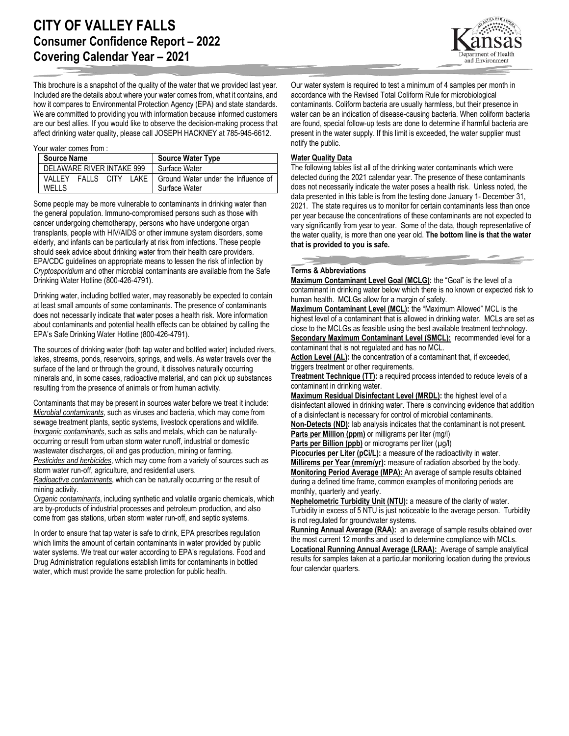

This brochure is a snapshot of the quality of the water that we provided last year. Included are the details about where your water comes from, what it contains, and how it compares to Environmental Protection Agency (EPA) and state standards. We are committed to providing you with information because informed customers are our best allies. If you would like to observe the decision-making process that affect drinking water quality, please call JOSEPH HACKNEY at 785-945-6612.

#### Your water comes from :

| <b>Source Name</b>                             | <b>Source Water Type</b>                             |
|------------------------------------------------|------------------------------------------------------|
| DELAWARE RIVER INTAKE 999                      | Surface Water                                        |
| VALLEY<br>FALLS CITY<br>LAKE I<br><b>WELLS</b> | Ground Water under the Influence of<br>Surface Water |

Some people may be more vulnerable to contaminants in drinking water than the general population. Immuno-compromised persons such as those with cancer undergoing chemotherapy, persons who have undergone organ transplants, people with HIV/AIDS or other immune system disorders, some elderly, and infants can be particularly at risk from infections. These people should seek advice about drinking water from their health care providers. EPA/CDC guidelines on appropriate means to lessen the risk of infection by *Cryptosporidium* and other microbial contaminants are available from the Safe Drinking Water Hotline (800-426-4791).

Drinking water, including bottled water, may reasonably be expected to contain at least small amounts of some contaminants. The presence of contaminants does not necessarily indicate that water poses a health risk. More information about contaminants and potential health effects can be obtained by calling the EPA's Safe Drinking Water Hotline (800-426-4791).

The sources of drinking water (both tap water and bottled water) included rivers, lakes, streams, ponds, reservoirs, springs, and wells. As water travels over the surface of the land or through the ground, it dissolves naturally occurring minerals and, in some cases, radioactive material, and can pick up substances resulting from the presence of animals or from human activity.

Contaminants that may be present in sources water before we treat it include: *Microbial contaminants*, such as viruses and bacteria, which may come from sewage treatment plants, septic systems, livestock operations and wildlife. *Inorganic contaminants*, such as salts and metals, which can be naturallyoccurring or result from urban storm water runoff, industrial or domestic wastewater discharges, oil and gas production, mining or farming. *Pesticides and herbicides*, which may come from a variety of sources such as storm water run-off, agriculture, and residential users.

*Radioactive contaminants*, which can be naturally occurring or the result of mining activity.

*Organic contaminants*, including synthetic and volatile organic chemicals, which are by-products of industrial processes and petroleum production, and also come from gas stations, urban storm water run-off, and septic systems.

In order to ensure that tap water is safe to drink, EPA prescribes regulation which limits the amount of certain contaminants in water provided by public water systems. We treat our water according to EPA's regulations. Food and Drug Administration regulations establish limits for contaminants in bottled water, which must provide the same protection for public health.

Our water system is required to test a minimum of 4 samples per month in accordance with the Revised Total Coliform Rule for microbiological contaminants. Coliform bacteria are usually harmless, but their presence in water can be an indication of disease-causing bacteria. When coliform bacteria are found, special follow-up tests are done to determine if harmful bacteria are present in the water supply. If this limit is exceeded, the water supplier must notify the public.

## **Water Quality Data**

The following tables list all of the drinking water contaminants which were detected during the 2021 calendar year. The presence of these contaminants does not necessarily indicate the water poses a health risk. Unless noted, the data presented in this table is from the testing done January 1- December 31, 2021. The state requires us to monitor for certain contaminants less than once per year because the concentrations of these contaminants are not expected to vary significantly from year to year. Some of the data, though representative of the water quality, is more than one year old. **The bottom line is that the water that is provided to you is safe.**

# **Terms & Abbreviations**

**Maximum Contaminant Level Goal (MCLG):** the "Goal" is the level of a contaminant in drinking water below which there is no known or expected risk to human health. MCLGs allow for a margin of safety.

**Maximum Contaminant Level (MCL):** the "Maximum Allowed" MCL is the highest level of a contaminant that is allowed in drinking water. MCLs are set as close to the MCLGs as feasible using the best available treatment technology. **Secondary Maximum Contaminant Level (SMCL):** recommended level for a contaminant that is not regulated and has no MCL.

Action Level (AL): the concentration of a contaminant that, if exceeded, triggers treatment or other requirements.

**Treatment Technique (TT):** a required process intended to reduce levels of a contaminant in drinking water.

**Maximum Residual Disinfectant Level (MRDL):** the highest level of a disinfectant allowed in drinking water. There is convincing evidence that addition of a disinfectant is necessary for control of microbial contaminants. **Non-Detects (ND):** lab analysis indicates that the contaminant is not present.

**Parts per Million (ppm)** or milligrams per liter (mg/l)

**Parts per Billion (ppb)** or micrograms per liter (µg/l)

Picocuries per Liter (pCi/L): a measure of the radioactivity in water.

**Millirems per Year (mrem/yr):** measure of radiation absorbed by the body. **Monitoring Period Average (MPA):** An average of sample results obtained during a defined time frame, common examples of monitoring periods are monthly, quarterly and yearly.

**Nephelometric Turbidity Unit (NTU):** a measure of the clarity of water. Turbidity in excess of 5 NTU is just noticeable to the average person. Turbidity is not regulated for groundwater systems.

**Running Annual Average (RAA):** an average of sample results obtained over the most current 12 months and used to determine compliance with MCLs.

**Locational Running Annual Average (LRAA):** Average of sample analytical results for samples taken at a particular monitoring location during the previous four calendar quarters.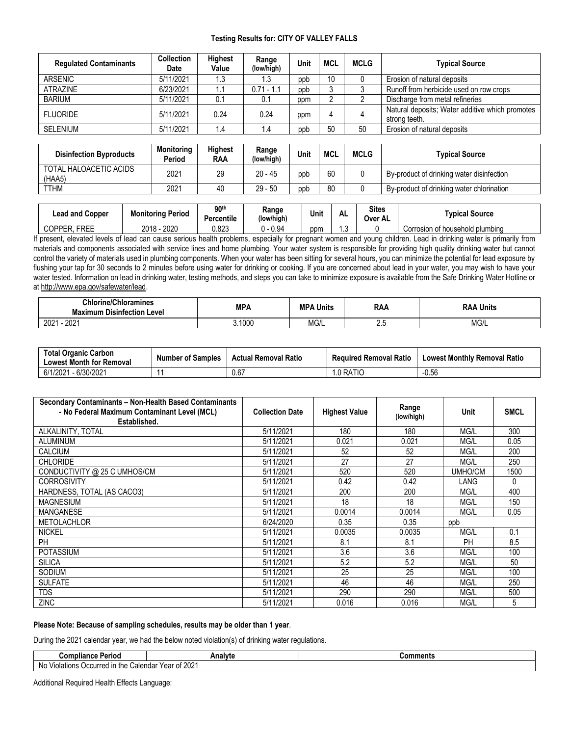## **Testing Results for: CITY OF VALLEY FALLS**

| <b>Regulated Contaminants</b> | <b>Collection</b><br>Date | <b>Highest</b><br>Value | Range<br>(low/high) | Unit | MCL | <b>MCLG</b> | <b>Typical Source</b>                                            |
|-------------------------------|---------------------------|-------------------------|---------------------|------|-----|-------------|------------------------------------------------------------------|
| <b>ARSENIC</b>                | 5/11/2021                 | l.3                     | 1.3                 | ppb  | 10  |             | Erosion of natural deposits                                      |
| <b>ATRAZINE</b>               | 6/23/2021                 |                         | $0.71 - 1.1$        | ppb  |     |             | Runoff from herbicide used on row crops                          |
| <b>BARIUM</b>                 | 5/11/2021                 | 0.1                     | 0.1                 | ppm  |     |             | Discharge from metal refineries                                  |
| <b>FLUORIDE</b>               | 5/11/2021                 | 0.24                    | 0.24                | ppm  | 4   |             | Natural deposits; Water additive which promotes<br>strong teeth. |
| <b>SELENIUM</b>               | 5/11/2021                 | ، ۱                     | ۱.4                 | ppb  | 50  | 50          | Erosion of natural deposits                                      |

| <b>Disinfection Byproducts</b>   | <b>Monitoring</b><br>Period | <b>Highest</b><br>RAA | Range<br>(low/high) | Unit | MCL | <b>MCLG</b> | <b>Typical Source</b>                     |
|----------------------------------|-----------------------------|-----------------------|---------------------|------|-----|-------------|-------------------------------------------|
| TOTAL HALOACETIC ACIDS<br>(HAA5) | 2021                        | 29                    | 20 - 45             | ppb  | 60  |             | By-product of drinking water disinfection |
| TTHM                             | 2021                        | 40                    | 29 - 50             | ppb  | 80  |             | By-product of drinking water chlorination |

| Lead and Copper              | <b>Monitoring Period</b> | 90 <sup>th</sup><br>$\rightarrow$<br>Percentile | Range<br>(low/high) | Unit | – A∟ | <b>Sites</b><br><b>Over AL</b> | <b>Tvpical Source</b>           |
|------------------------------|--------------------------|-------------------------------------------------|---------------------|------|------|--------------------------------|---------------------------------|
| <b>FREE</b><br><b>COPPER</b> | 2020<br>2018             | 0.823                                           | 0.94                | ppm  |      |                                | Corrosion of household plumbing |

If present, elevated levels of lead can cause serious health problems, especially for pregnant women and young children. Lead in drinking water is primarily from materials and components associated with service lines and home plumbing. Your water system is responsible for providing high quality drinking water but cannot control the variety of materials used in plumbing components. When your water has been sitting for several hours, you can minimize the potential for lead exposure by flushing your tap for 30 seconds to 2 minutes before using water for drinking or cooking. If you are concerned about lead in your water, you may wish to have your water tested. Information on lead in drinking water, testing methods, and steps you can take to minimize exposure is available from the Safe Drinking Water Hotline or a[t http://www.epa.gov/safewater/lead.](http://www.epa.gov/safewater/lead)

| <b>Chlorine/Chloramines</b><br>Maximum<br>. Disinfection Level | MPA  | MP/<br>Units | <b>RAA</b> | <b>Units</b><br>RAA       |
|----------------------------------------------------------------|------|--------------|------------|---------------------------|
| 2021<br>2001<br>ZUZ                                            | 1000 | 101<br>NU/L  | $\sim$     | 10 <sub>1</sub><br>IVIG/L |

| <b>Total Organic Carbon</b><br><b>Lowest Month for Removal</b> | <b>Number of Samples</b> | <b>Actual Removal Ratio</b> | <b>Required Removal Ratio</b> | <b>Lowest Monthly Removal Ratio</b> |
|----------------------------------------------------------------|--------------------------|-----------------------------|-------------------------------|-------------------------------------|
| 6/30/2021<br>6/1/2021                                          |                          | 0.67                        | I.0 RATIO                     | $-0.56$                             |

| Secondary Contaminants - Non-Health Based Contaminants<br>- No Federal Maximum Contaminant Level (MCL)<br>Established. | <b>Collection Date</b> | <b>Highest Value</b> | Range<br>(low/high) | Unit    | <b>SMCL</b> |
|------------------------------------------------------------------------------------------------------------------------|------------------------|----------------------|---------------------|---------|-------------|
| ALKALINITY, TOTAL                                                                                                      | 5/11/2021              | 180                  | 180                 | MG/L    | 300         |
| <b>ALUMINUM</b>                                                                                                        | 5/11/2021              | 0.021                | 0.021               | MG/L    | 0.05        |
| CALCIUM                                                                                                                | 5/11/2021              | 52                   | 52                  | MG/L    | 200         |
| <b>CHLORIDE</b>                                                                                                        | 5/11/2021              | 27                   | 27                  | MG/L    | 250         |
| CONDUCTIVITY @ 25 C UMHOS/CM                                                                                           | 5/11/2021              | 520                  | 520                 | UMHO/CM | 1500        |
| <b>CORROSIVITY</b>                                                                                                     | 5/11/2021              | 0.42                 | 0.42                | LANG    | 0           |
| HARDNESS, TOTAL (AS CACO3)                                                                                             | 5/11/2021              | 200                  | 200                 | MG/L    | 400         |
| <b>MAGNESIUM</b>                                                                                                       | 5/11/2021              | 18                   | 18                  | MG/L    | 150         |
| <b>MANGANESE</b>                                                                                                       | 5/11/2021              | 0.0014               | 0.0014              | MG/L    | 0.05        |
| <b>METOLACHLOR</b>                                                                                                     | 6/24/2020              | 0.35                 | 0.35                | ppb     |             |
| <b>NICKEL</b>                                                                                                          | 5/11/2021              | 0.0035               | 0.0035              | MG/L    | 0.1         |
| PH                                                                                                                     | 5/11/2021              | 8.1                  | 8.1                 | PH      | 8.5         |
| <b>POTASSIUM</b>                                                                                                       | 5/11/2021              | 3.6                  | 3.6                 | MG/L    | 100         |
| <b>SILICA</b>                                                                                                          | 5/11/2021              | 5.2                  | 5.2                 | MG/L    | 50          |
| SODIUM                                                                                                                 | 5/11/2021              | 25                   | 25                  | MG/L    | 100         |
| <b>SULFATE</b>                                                                                                         | 5/11/2021              | 46                   | 46                  | MG/L    | 250         |
| TDS                                                                                                                    | 5/11/2021              | 290                  | 290                 | MG/L    | 500         |
| ZINC                                                                                                                   | 5/11/2021              | 0.016                | 0.016               | MG/L    | 5           |

### **Please Note: Because of sampling schedules, results may be older than 1 year**.

During the 2021 calendar year, we had the below noted violation(s) of drinking water regulations.

| Compliance<br><b>Periou</b>                          | Analyte                    | :omments |
|------------------------------------------------------|----------------------------|----------|
| ∵alendar<br>N0<br>Violations<br>the<br>Jccurred<br>. | 1000<br>Year.<br>OT<br>ZUZ |          |

Additional Required Health Effects Language: